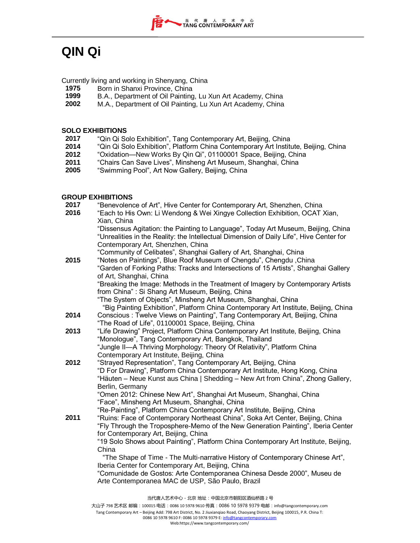## **QIN Qi**

Currently living and working in Shenyang, China

- **1975** Born in Shanxi Province, China<br>**1999** B.A., Department of Oil Painting
- **1999** B.A., Department of Oil Painting, Lu Xun Art Academy, China
- **2002** M.A., Department of Oil Painting, Lu Xun Art Academy, China

## **SOLO EXHIBITIONS**

- **2017** "Qin Qi Solo Exhibition", Tang Contemporary Art, Beijing, China
- **2014** "Qin Qi Solo Exhibition", Platform China Contemporary Art Institute, Beijing, China
- **2012** "Oxidation—New Works By Qin Qi", 01100001 Space, Beijing, China
- **2011** "Chairs Can Save Lives", Minsheng Art Museum, Shanghai, China
- 2005 "Swimming Pool", Art Now Gallery, Beijing, China

## **GROUP EXHIBITIONS**

| 2017 | "Benevolence of Art", Hive Center for Contemporary Art, Shenzhen, China                                                                                   |
|------|-----------------------------------------------------------------------------------------------------------------------------------------------------------|
| 2016 | "Each to His Own: Li Wendong & Wei Xingye Collection Exhibition, OCAT Xian,                                                                               |
|      | Xian, China                                                                                                                                               |
|      | "Dissensus Agitation: the Painting to Language", Today Art Museum, Beijing, China                                                                         |
|      | "Unrealities in the Reality: the Intellectual Dimension of Daily Life", Hive Center for                                                                   |
|      | Contemporary Art, Shenzhen, China                                                                                                                         |
|      | "Community of Celibates", Shanghai Gallery of Art, Shanghai, China                                                                                        |
| 2015 | "Notes on Paintings", Blue Roof Museum of Chengdu", Chengdu, China<br>"Garden of Forking Paths: Tracks and Intersections of 15 Artists", Shanghai Gallery |
|      | of Art, Shanghai, China                                                                                                                                   |
|      | "Breaking the Image: Methods in the Treatment of Imagery by Contemporary Artists                                                                          |
|      | from China": Si Shang Art Museum, Beijing, China                                                                                                          |
|      | "The System of Objects", Minsheng Art Museum, Shanghai, China                                                                                             |
|      | "Big Painting Exhibition", Platform China Contemporary Art Institute, Beijing, China                                                                      |
| 2014 | Conscious: Twelve Views on Painting", Tang Contemporary Art, Beijing, China                                                                               |
|      | "The Road of Life", 01100001 Space, Beijing, China                                                                                                        |
| 2013 | "Life Drawing" Project, Platform China Contemporary Art Institute, Beijing, China                                                                         |
|      | "Monologue", Tang Contemporary Art, Bangkok, Thailand                                                                                                     |
|      | "Jungle II—A Thriving Morphology: Theory Of Relativity", Platform China                                                                                   |
|      | Contemporary Art Institute, Beijing, China                                                                                                                |
| 2012 | "Strayed Representation", Tang Contemporary Art, Beijing, China                                                                                           |
|      | "D For Drawing", Platform China Contemporary Art Institute, Hong Kong, China                                                                              |
|      | "Häuten – Neue Kunst aus China   Shedding – New Art from China", Zhong Gallery,                                                                           |
|      | Berlin, Germany                                                                                                                                           |
|      | "Omen 2012: Chinese New Art", Shanghai Art Museum, Shanghai, China<br>"Face", Minsheng Art Museum, Shanghai, China                                        |
|      | "Re-Painting", Platform China Contemporary Art Institute, Beijing, China                                                                                  |
| 2011 | "Ruins: Face of Contemporary Northeast China", Soka Art Center, Beijing, China                                                                            |
|      | "Fly Through the Troposphere-Memo of the New Generation Painting", Iberia Center                                                                          |
|      | for Contemporary Art, Beijing, China                                                                                                                      |
|      | "19 Solo Shows about Painting", Platform China Contemporary Art Institute, Beijing,                                                                       |
|      | China                                                                                                                                                     |
|      | "The Shape of Time - The Multi-narrative History of Contemporary Chinese Art",                                                                            |
|      | Iberia Center for Contemporary Art, Beijing, China                                                                                                        |
|      | "Comunidade de Gostos: Arte Contemporanea Chinesa Desde 2000", Museu de                                                                                   |
|      | Arte Contemporanea MAC de USP, São Paulo, Brazil                                                                                                          |
|      |                                                                                                                                                           |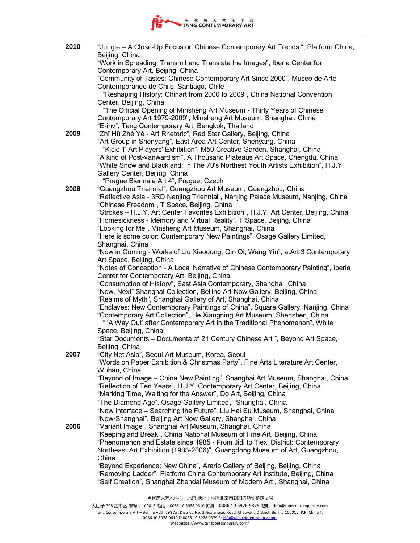

| 2010 | "Jungle - A Close-Up Focus on Chinese Contemporary Art Trends ", Platform China,<br>Beijing, China                                                              |
|------|-----------------------------------------------------------------------------------------------------------------------------------------------------------------|
|      | "Work in Spreading: Transmit and Translate the Images", Iberia Center for<br>Contemporary Art, Beijing, China                                                   |
|      | "Community of Tastes: Chinese Contemporary Art Since 2000", Museo de Arte<br>Contemporaneo de Chile, Santiago, Chile                                            |
|      | "Reshaping History: Chinart from 2000 to 2009", China National Convention                                                                                       |
|      | Center, Beijing, China<br>"The Official Opening of Minsheng Art Museum - Thirty Years of Chinese                                                                |
|      | Contemporary Art 1979-2009", Minsheng Art Museum, Shanghai, China<br>"E-inv", Tang Contemporary Art, Bangkok, Thailand                                          |
| 2009 | "Zhī Hū Zhě Yě - Art Rhetoric", Red Star Gallery, Beijing, China                                                                                                |
|      | "Art Group in Shenyang", East Area Art Center, Shenyang, China<br>"Kick: T-Art Players' Exhibition", M50 Creative Garden, Shanghai, China                       |
|      | "A kind of Post-vanwardism", A Thousand Plateaus Art Space, Chengdu, China<br>"White Snow and Blackland: In The 70's Northest Youth Artists Exhibition", H.J.Y. |
|      | Gallery Center, Beijing, China<br>"Prague Biennale Art 4", Prague, Czech                                                                                        |
| 2008 | "Guangzhou Triennial", Guangzhou Art Museum, Guangzhou, China                                                                                                   |
|      | "Reflective Asia - 3RD Nanjing Triennial", Nanjing Palace Museum, Nanjing, China<br>"Chinese Freedom", T Space, Beijing, China                                  |
|      | "Strokes - H.J.Y. Art Center Favorites Exhibition", H.J.Y. Art Center, Beijing, China                                                                           |
|      | "Homesickness - Memory and Virtual Reality", T Space, Beijing, China<br>"Looking for Me", Minsheng Art Museum, Shanghai, China                                  |
|      | "Here is some color: Contemporary New Paintings", Osage Gallery Limited,                                                                                        |
|      | Shanghai, China<br>"Now in Coming - Works of Liu Xiaodong, Qin Qi, Wang Yin", atArt 3 Contemporary                                                              |
|      | Art Space, Beijing, China                                                                                                                                       |
|      | "Notes of Conception - A Local Narrative of Chinese Contemporary Painting", Iberia                                                                              |
|      | Center for Contemporary Art, Beijing, China<br>"Consumption of History", East Asia Contemporary, Shanghai, China                                                |
|      | "Now, Next" Shanghai Collection, Beijing Art Now Gallery, Beijing, China                                                                                        |
|      | "Realms of Myth", Shanghai Gallery of Art, Shanghai, China<br>"Enclaves: New Contemporary Paintings of China", Square Gallery, Nanjing, China                   |
|      | "Contemporary Art Collection", He Xiangning Art Museum, Shenzhen, China<br>" 'A Way Out' after Contemporary Art in the Traditional Phenomenon", White           |
|      | Space, Beijing, China<br>"Star Documents - Documenta of 21 Century Chinese Art", Beyond Art Space,                                                              |
|      | Beijing, China                                                                                                                                                  |
| 2007 | "City Net Asia", Seoul Art Museum, Korea, Seoul<br>"Words on Paper Exhibition & Christmas Party", Fine Arts Literature Art Center,<br>Wuhan, China              |
|      | "Beyond of Image - China New Painting", Shanghai Art Museum, Shanghai, China                                                                                    |
|      | "Reflection of Ten Years", H.J.Y. Contemporary Art Center, Beijing, China                                                                                       |
|      | "Marking Time, Waiting for the Answer", Do Art, Beijing, China<br>"The Diamond Age", Osage Gallery Limited, Shanghai, China                                     |
|      | "New Interface – Searching the Future", Liu Hai Su Museum, Shanghai, China                                                                                      |
| 2006 | "Now Shanghai", Beijing Art Now Gallery, Shanghai, China<br>"Variant Image", Shanghai Art Museum, Shanghai, China                                               |
|      | "Keeping and Break", China National Museum of Fine Art, Beijing, China                                                                                          |
|      | "Phenomenon and Estate since 1985 - From Jidi to Tiexi District: Contemporary<br>Northeast Art Exhibition (1985-2006)", Guangdong Museum of Art, Guangzhou,     |
|      | China                                                                                                                                                           |
|      | "Beyond Experience: New China", Arario Gallery of Beijing, Beijing, China<br>"Removing Ladder", Platform China Contemporary Art Institute, Beijing, China       |
|      | "Self Creation", Shanghai Zhendai Museum of Modern Art, Shanghai, China                                                                                         |
|      |                                                                                                                                                                 |

当代唐人艺术中心-北京 地址:中国北京市朝阳区酒仙桥路 2 号

大山子 798 艺术区 邮编:100015 电话: 0086 10 5978 9610 传真: 0086 10 5978 9379 电邮: info@tangcontemporary.com Tang Contemporary Art – Beijing Add: 798 Art District, No. 2 Jiuxianqiao Road, Chaoyang District, Beijing 100015, P.R. China T: 0086 10 5978 9610 F: 0086 10 5978 9379 E[: info@tangcontemporary.com](mailto:info@tangcontemporary.com) Web:https://www.tangcontemporary.com/